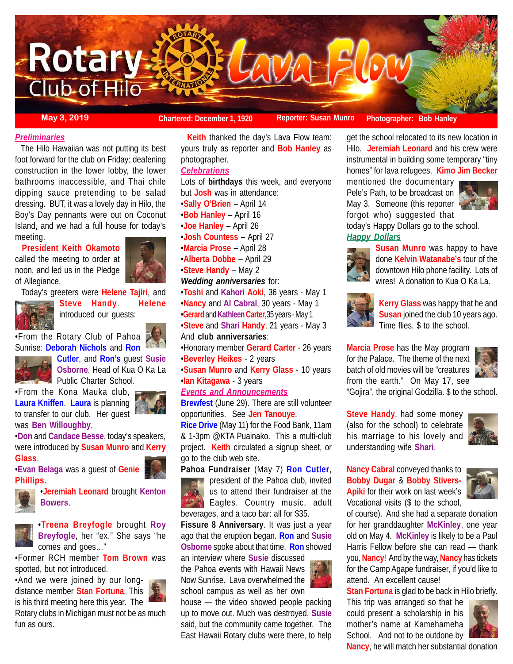

**May 3, 2019 Chartered: December 1, 1920 Reporter: Susan Munro** Photographer: Bob Hanley

### *Preliminaries*

 The Hilo Hawaiian was not putting its best foot forward for the club on Friday: deafening construction in the lower lobby, the lower bathrooms inaccessible, and Thai chile dipping sauce pretending to be salad dressing. BUT, it was a lovely day in Hilo, the Boy's Day pennants were out on Coconut Island, and we had a full house for today's meeting.

 **President Keith Okamoto** called the meeting to order at noon, and led us in the Pledge of Allegiance.



Today's greeters were **Helene Tajiri**, and



**Steve Handy**. **Helene** introduced our guests:

•From the Rotary Club of Pahoa Sunrise: **Deborah Nichols** and **Ron**



**Cutler**, and **Ron's** guest **Susie Osborne**, Head of Kua O Ka La Public Charter School.

•From the Kona Mauka club, **Laura Kniffen**. **Laura** is planning to transfer to our club. Her guest was **Ben Willoughby**.

•**Don** and **Candace Besse**, today's speakers, were introduced by **Susan Munro** and **Kerry Glass**.

•**Evan Belaga** was a guest of **Genie Phillips**.



•**Jeremiah Leonard** brought **Kenton Bowers**.



•**Treena Breyfogle** brought **Roy Breyfogle**, her "ex." She says "he comes and goes…"

•Former RCH member **Tom Brown** was spotted, but not introduced.

•And we were joined by our longdistance member **Stan Fortuna**. This is his third meeting here this year. The



Rotary clubs in Michigan must not be as much fun as ours.

 **Keith** thanked the day's Lava Flow team: yours truly as reporter and **Bob Hanley** as photographer.

# *Celebrations*

Lots of **birthdays** this week, and everyone but **Josh** was in attendance: •**Sally O'Brien** – April 14 •**Bob Hanley** – April 16 •**Joe Hanley** – April 26 •**Josh Countess** – April 27 •**Marcia Prose** – April 28 •**Alberta Dobbe** – April 29 •**Steve Handy** – May 2 *Wedding anniversaries* for:

•**Toshi** and **Kahori Aoki**, 36 years - May 1 •**Nancy** and **Al Cabral**, 30 years - May 1 •**Gerard** and **KathleenCarter**,35 years - May 1 •**Steve** and **Shari Handy**, 21 years - May 3

And **club anniversaries**:

•Honorary member **Gerard Carter** - 26 years •**Beverley Heikes** - 2 years

•**Susan Munro** and **Kerry Glass** - 10 years •**Ian Kitagawa** - 3 years

*Events and Announcements*

**Brewfest** (June 29). There are still volunteer opportunities. See **Jen Tanouye**.

**Rice Drive** (May 11) for the Food Bank, 11am & 1-3pm @KTA Puainako. This a multi-club project. **Keith** circulated a signup sheet, or go to the club web site.

**Pahoa Fundraiser** (May 7) **Ron Cutler**,

president of the Pahoa club, invited us to attend their fundraiser at the **Eagles.** Country music, adult beverages, and a taco bar: all for \$35.

**Fissure 8 Anniversary**. It was just a year ago that the eruption began. **Ron** and **Susie Osborne** spoke about that time. **Ron** showed

an interview where **Susie** discussed the Pahoa events with Hawaii News Now Sunrise. Lava overwhelmed the school campus as well as her own

house — the video showed people packing up to move out. Much was destroyed, **Susie** said, but the community came together. The East Hawaii Rotary clubs were there, to help

get the school relocated to its new location in Hilo. **Jeremiah Leonard** and his crew were instrumental in building some temporary "tiny homes" for lava refugees. **Kimo Jim Becker**

mentioned the documentary Pele's Path, to be broadcast on May 3. Someone (this reporter forgot who) suggested that



today's Happy Dollars go to the school. *Happy Dollars*



**Susan Munro** was happy to have done **Kelvin Watanabe's** tour of the downtown Hilo phone facility. Lots of wires! A donation to Kua O Ka La.



**Kerry Glass** was happy that he and **Susan** joined the club 10 years ago. Time flies. \$ to the school.

**Marcia Prose** has the May program for the Palace. The theme of the next batch of old movies will be "creatures from the earth." On May 17, see

"Gojira", the original Godzilla. \$ to the school.

**Steve Handy**, had some money (also for the school) to celebrate his marriage to his lovely and understanding wife **Shari**.



**Nancy Cabral** conveyed thanks to **Bobby Dugar** & **Bobby Stivers-Apiki** for their work on last week's Vocational visits (\$ to the school,



of course). And she had a separate donation for her granddaughter **McKinley**, one year old on May 4. **McKinley** is likely to be a Paul Harris Fellow before she can read — thank you, **Nancy**! And by the way, **Nancy** has tickets for the Camp Agape fundraiser, if you'd like to attend. An excellent cause!

**Stan Fortuna** is glad to be back in Hilo briefly.

This trip was arranged so that he could present a scholarship in his mother's name at Kamehameha School. And not to be outdone by **Nancy**, he will match her substantial donation